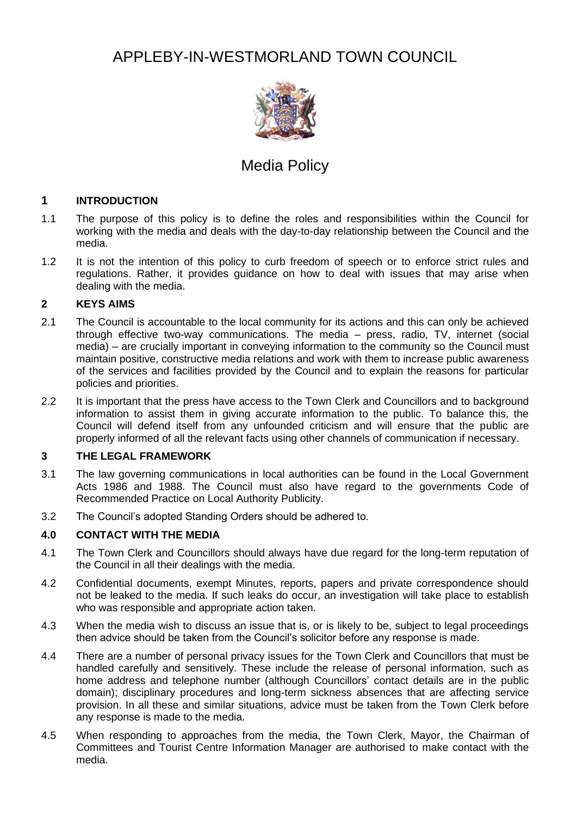# APPLEBY-IN-WESTMORLAND TOWN COUNCIL



## Media Policy

### **1 INTRODUCTION**

- 1.1 The purpose of this policy is to define the roles and responsibilities within the Council for working with the media and deals with the day-to-day relationship between the Council and the media.
- 1.2 It is not the intention of this policy to curb freedom of speech or to enforce strict rules and regulations. Rather, it provides guidance on how to deal with issues that may arise when dealing with the media.

#### **2 KEYS AIMS**

- 2.1 The Council is accountable to the local community for its actions and this can only be achieved through effective two-way communications. The media – press, radio, TV, internet (social media) – are crucially important in conveying information to the community so the Council must maintain positive, constructive media relations and work with them to increase public awareness of the services and facilities provided by the Council and to explain the reasons for particular policies and priorities.
- 2.2 It is important that the press have access to the Town Clerk and Councillors and to background information to assist them in giving accurate information to the public. To balance this, the Council will defend itself from any unfounded criticism and will ensure that the public are properly informed of all the relevant facts using other channels of communication if necessary.

#### **3 THE LEGAL FRAMEWORK**

- 3.1 The law governing communications in local authorities can be found in the Local Government Acts 1986 and 1988. The Council must also have regard to the governments Code of Recommended Practice on Local Authority Publicity.
- 3.2 The Council's adopted Standing Orders should be adhered to.

#### **4.0 CONTACT WITH THE MEDIA**

- 4.1 The Town Clerk and Councillors should always have due regard for the long-term reputation of the Council in all their dealings with the media.
- 4.2 Confidential documents, exempt Minutes, reports, papers and private correspondence should not be leaked to the media. If such leaks do occur, an investigation will take place to establish who was responsible and appropriate action taken.
- 4.3 When the media wish to discuss an issue that is, or is likely to be, subject to legal proceedings then advice should be taken from the Council's solicitor before any response is made.
- 4.4 There are a number of personal privacy issues for the Town Clerk and Councillors that must be handled carefully and sensitively. These include the release of personal information, such as home address and telephone number (although Councillors' contact details are in the public domain); disciplinary procedures and long-term sickness absences that are affecting service provision. In all these and similar situations, advice must be taken from the Town Clerk before any response is made to the media.
- 4.5 When responding to approaches from the media, the Town Clerk, Mayor, the Chairman of Committees and Tourist Centre Information Manager are authorised to make contact with the media.